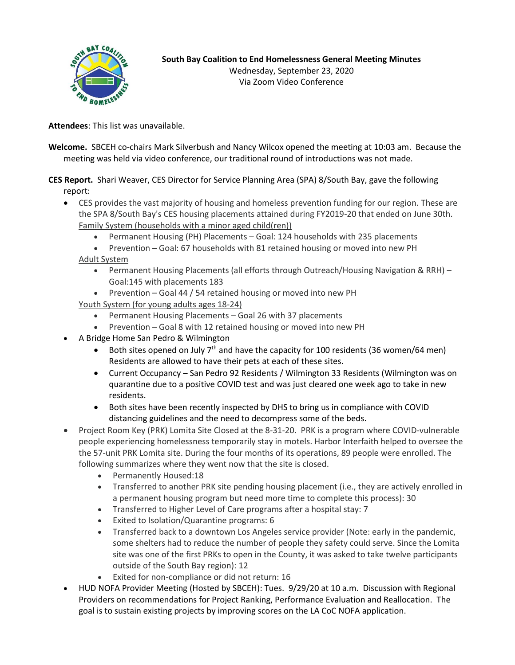

Via Zoom Video Conference

**Attendees**: This list was unavailable.

**Welcome.** SBCEH co-chairs Mark Silverbush and Nancy Wilcox opened the meeting at 10:03 am. Because the meeting was held via video conference, our traditional round of introductions was not made.

**CES Report.** Shari Weaver, CES Director for Service Planning Area (SPA) 8/South Bay, gave the following report:

- CES provides the vast majority of housing and homeless prevention funding for our region. These are the SPA 8/South Bay's CES housing placements attained during FY2019-20 that ended on June 30th. Family System (households with a minor aged child(ren))
	- Permanent Housing (PH) Placements Goal: 124 households with 235 placements
	- Prevention Goal: 67 households with 81 retained housing or moved into new PH Adult System
		- Permanent Housing Placements (all efforts through Outreach/Housing Navigation & RRH) Goal:145 with placements 183
		- Prevention Goal 44 / 54 retained housing or moved into new PH

Youth System (for young adults ages 18-24)

- Permanent Housing Placements Goal 26 with 37 placements
- Prevention Goal 8 with 12 retained housing or moved into new PH
- A Bridge Home San Pedro & Wilmington
	- Both sites opened on July  $7<sup>th</sup>$  and have the capacity for 100 residents (36 women/64 men) Residents are allowed to have their pets at each of these sites.
	- Current Occupancy San Pedro 92 Residents / Wilmington 33 Residents (Wilmington was on quarantine due to a positive COVID test and was just cleared one week ago to take in new residents.
	- Both sites have been recently inspected by DHS to bring us in compliance with COVID distancing guidelines and the need to decompress some of the beds.
- Project Room Key (PRK) Lomita Site Closed at the 8-31-20. PRK is a program where COVID-vulnerable people experiencing homelessness temporarily stay in motels. Harbor Interfaith helped to oversee the the 57-unit PRK Lomita site. During the four months of its operations, 89 people were enrolled. The following summarizes where they went now that the site is closed.
	- Permanently Housed:18
	- Transferred to another PRK site pending housing placement (i.e., they are actively enrolled in a permanent housing program but need more time to complete this process): 30
	- Transferred to Higher Level of Care programs after a hospital stay: 7
	- Exited to Isolation/Quarantine programs: 6
	- Transferred back to a downtown Los Angeles service provider (Note: early in the pandemic, some shelters had to reduce the number of people they safety could serve. Since the Lomita site was one of the first PRKs to open in the County, it was asked to take twelve participants outside of the South Bay region): 12
	- Exited for non-compliance or did not return: 16
- HUD NOFA Provider Meeting (Hosted by SBCEH): Tues. 9/29/20 at 10 a.m. Discussion with Regional Providers on recommendations for Project Ranking, Performance Evaluation and Reallocation. The goal is to sustain existing projects by improving scores on the LA CoC NOFA application.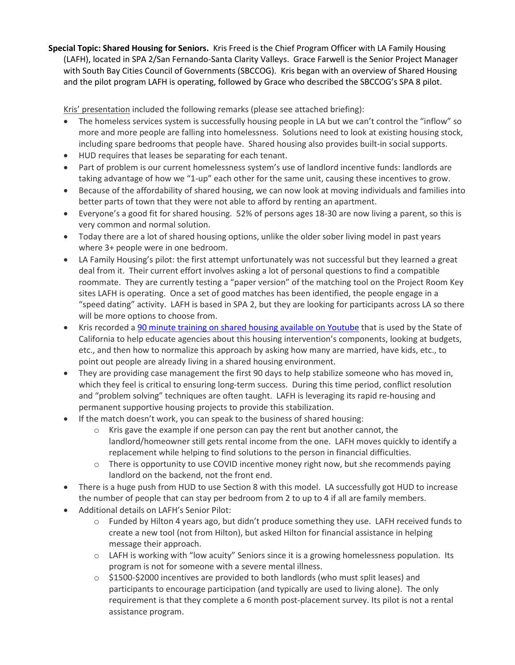**Special Topic: Shared Housing for Seniors.** Kris Freed is the Chief Program Officer with LA Family Housing (LAFH), located in SPA 2/San Fernando-Santa Clarity Valleys. Grace Farwell is the Senior Project Manager with South Bay Cities Council of Governments (SBCCOG). Kris began with an overview of Shared Housing and the pilot program LAFH is operating, followed by Grace who described the SBCCOG's SPA 8 pilot.

Kris' presentation included the following remarks (please see attached briefing):

- The homeless services system is successfully housing people in LA but we can't control the "inflow" so more and more people are falling into homelessness. Solutions need to look at existing housing stock, including spare bedrooms that people have. Shared housing also provides built-in social supports.
- HUD requires that leases be separating for each tenant.
- Part of problem is our current homelessness system's use of landlord incentive funds: landlords are taking advantage of how we "1-up" each other for the same unit, causing these incentives to grow.
- Because of the affordability of shared housing, we can now look at moving individuals and families into better parts of town that they were not able to afford by renting an apartment.
- Everyone's a good fit for shared housing. 52% of persons ages 18-30 are now living a parent, so this is very common and normal solution.
- Today there are a lot of shared housing options, unlike the older sober living model in past years where 3+ people were in one bedroom.
- LA Family Housing's pilot: the first attempt unfortunately was not successful but they learned a great deal from it. Their current effort involves asking a lot of personal questions to find a compatible roommate. They are currently testing a "paper version" of the matching tool on the Project Room Key sites LAFH is operating. Once a set of good matches has been identified, the people engage in a "speed dating" activity. LAFH is based in SPA 2, but they are looking for participants across LA so there will be more options to choose from.
- Kris recorded a [90 minute training on shared housing available on Youtube](https://www.youtube.com/watch?v=PsepPfsb-wo&feature=youtu.be) that is used by the State of California to help educate agencies about this housing intervention's components, looking at budgets, etc., and then how to normalize this approach by asking how many are married, have kids, etc., to point out people are already living in a shared housing environment.
- They are providing case management the first 90 days to help stabilize someone who has moved in, which they feel is critical to ensuring long-term success. During this time period, conflict resolution and "problem solving" techniques are often taught. LAFH is leveraging its rapid re-housing and permanent supportive housing projects to provide this stabilization.
- If the match doesn't work, you can speak to the business of shared housing:
	- $\circ$  Kris gave the example if one person can pay the rent but another cannot, the landlord/homeowner still gets rental income from the one. LAFH moves quickly to identify a replacement while helping to find solutions to the person in financial difficulties.
	- o There is opportunity to use COVID incentive money right now, but she recommends paying landlord on the backend, not the front end.
- There is a huge push from HUD to use Section 8 with this model. LA successfully got HUD to increase the number of people that can stay per bedroom from 2 to up to 4 if all are family members.
- Additional details on LAFH's Senior Pilot:
	- o Funded by Hilton 4 years ago, but didn't produce something they use. LAFH received funds to create a new tool (not from Hilton), but asked Hilton for financial assistance in helping message their approach.
	- $\circ$  LAFH is working with "low acuity" Seniors since it is a growing homelessness population. Its program is not for someone with a severe mental illness.
	- $\circ$  \$1500-\$2000 incentives are provided to both landlords (who must split leases) and participants to encourage participation (and typically are used to living alone). The only requirement is that they complete a 6 month post-placement survey. Its pilot is not a rental assistance program.